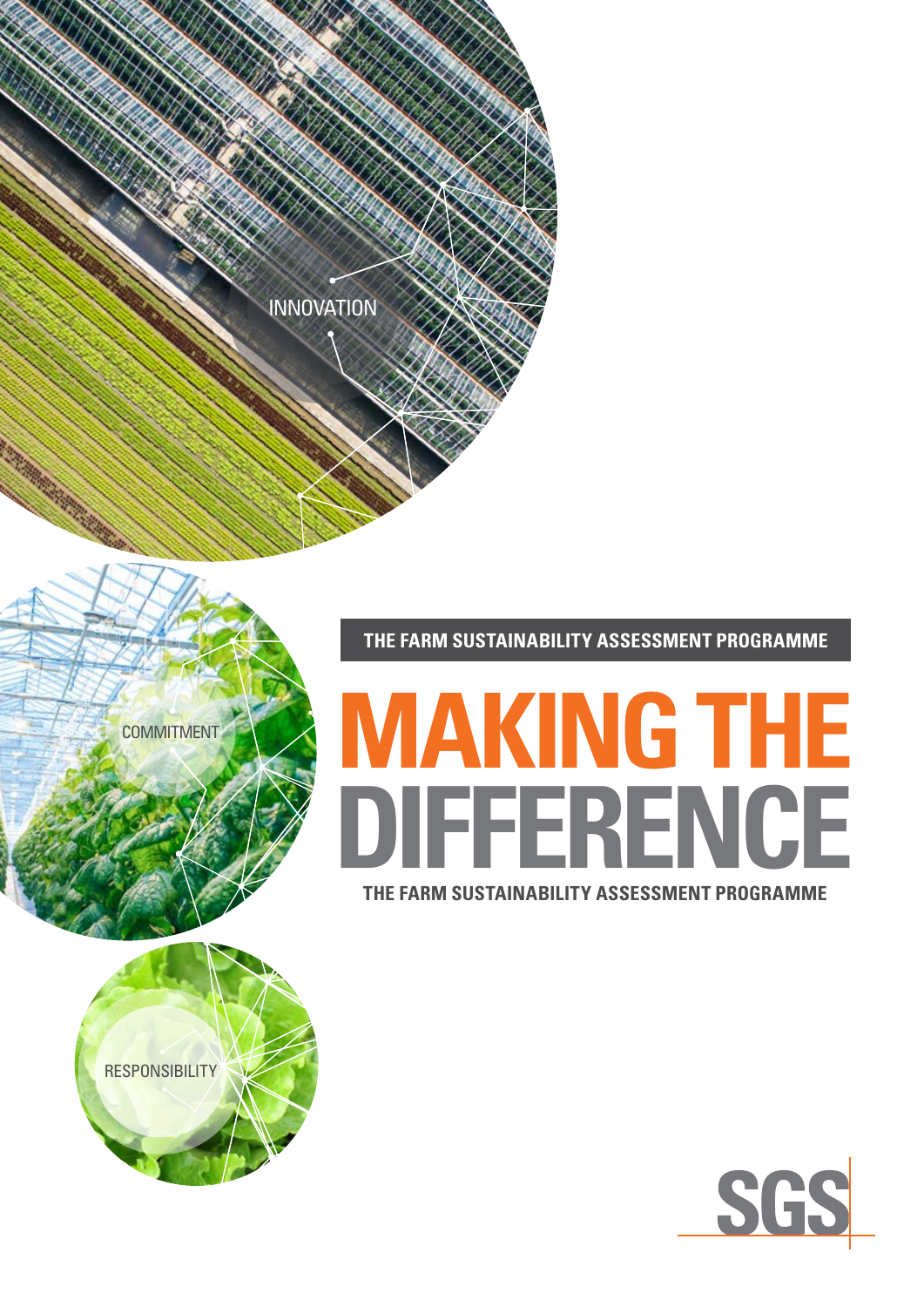

**THE FARM SUSTAINABILITY ASSESSMENT PROGRAMME**

# **THE FARM SUSTAINABILITY ASSESSMENT PROGRAMME MAKING THE DIFFERENCE**





**COMMITMENT**